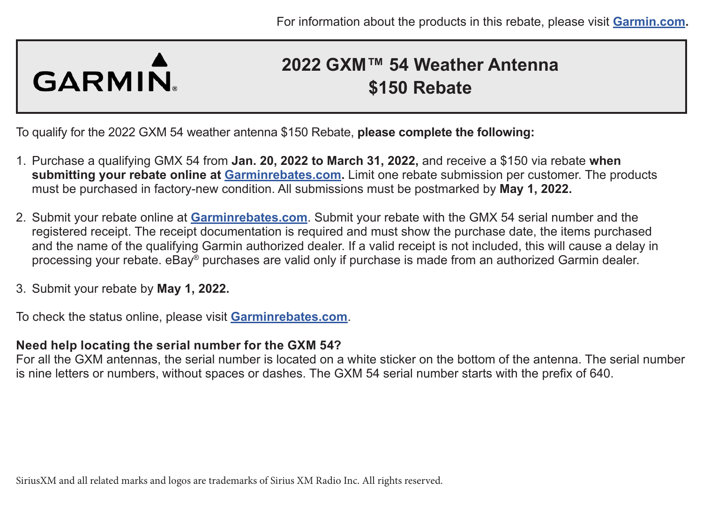# GARMIN

## **2022 GXM™ 54 Weather Antenna \$150 Rebate**

To qualify for the 2022 GXM 54 weather antenna \$150 Rebate, **please complete the following:**

- 1. Purchase a qualifying GMX 54 from **Jan. 20, 2022 to March 31, 2022,** and receive a \$150 via rebate **when submitting your rebate online at [Garminrebates.com](https://www.garminrebates.com/).** Limit one rebate submission per customer. The products must be purchased in factory-new condition. All submissions must be postmarked by **May 1, 2022.**
- 2. Submit your rebate online at **[Garminrebates.com](https://www.garminrebates.com/)**. Submit your rebate with the GMX 54 serial number and the registered receipt. The receipt documentation is required and must show the purchase date, the items purchased and the name of the qualifying Garmin authorized dealer. If a valid receipt is not included, this will cause a delay in processing your rebate. eBay® purchases are valid only if purchase is made from an authorized Garmin dealer.
- 3. Submit your rebate by **May 1, 2022.**

To check the status online, please visit **[Garminrebates.com](https://www.garminrebates.com/)**.

#### **Need help locating the serial number for the GXM 54?**

For all the GXM antennas, the serial number is located on a white sticker on the bottom of the antenna. The serial number is nine letters or numbers, without spaces or dashes. The GXM 54 serial number starts with the prefix of 640.

SiriusXM and all related marks and logos are trademarks of Sirius XM Radio Inc. All rights reserved.